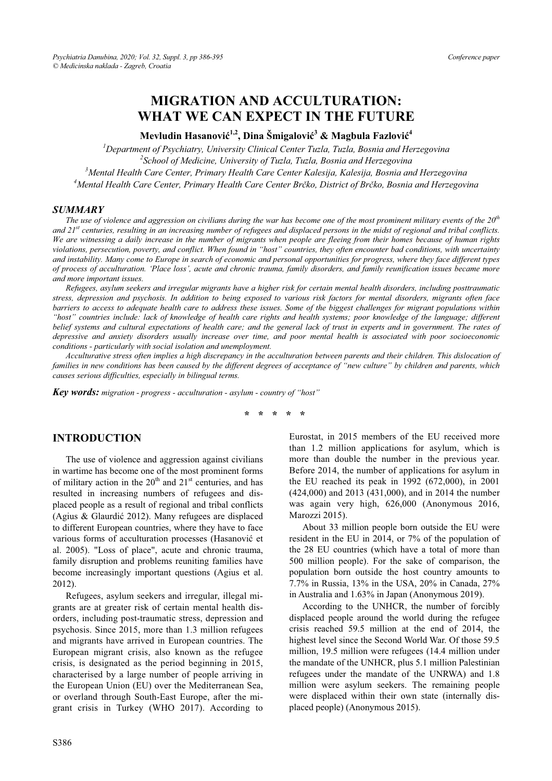# **MIGRATION AND ACCULTURATION: WHAT WE CAN EXPECT IN THE FUTURE**

**Mevludin Hasanoviü 1,2, Dina Šmigaloviü 3 & Magbula Fazloviü 4**

<sup>1</sup> Department of Psychiatry, University Clinical Center Tuzla, Tuzla, Bosnia and Herzegovina<br><sup>2</sup>Sebool of Medicine, University of Tuzla, Tuzla, Bosnia and Herzegovina <sup>2</sup> School of Medicine, University of Tuzla, Tuzla, Bosnia and Herzegovina *Mental Health Care Center, Primary Health Care Center Kalesija, Kalesija, Bosnia and Herzegovina 4 Mental Health Care Center, Primary Health Care Center Brþko, District of Brþko, Bosnia and Herzegovina* 

#### *SUMMARY*

*The use of violence and aggression on civilians during the war has become one of the most prominent military events of the 20th and 21st centuries, resulting in an increasing number of refugees and displaced persons in the midst of regional and tribal conflicts. We are witnessing a daily increase in the number of migrants when people are fleeing from their homes because of human rights violations, persecution, poverty, and conflict. When found in "host" countries, they often encounter bad conditions, with uncertainty and instability. Many come to Europe in search of economic and personal opportunities for progress, where they face different types of process of acculturation. 'Place loss', acute and chronic trauma, family disorders, and family reunification issues became more and more important issues.*

*Refugees, asylum seekers and irregular migrants have a higher risk for certain mental health disorders, including posttraumatic stress, depression and psychosis. In addition to being exposed to various risk factors for mental disorders, migrants often face barriers to access to adequate health care to address these issues. Some of the biggest challenges for migrant populations within "host" countries include: lack of knowledge of health care rights and health systems; poor knowledge of the language; different belief systems and cultural expectations of health care; and the general lack of trust in experts and in government. The rates of depressive and anxiety disorders usually increase over time, and poor mental health is associated with poor socioeconomic conditions - particularly with social isolation and unemployment.* 

*Acculturative stress often implies a high discrepancy in the acculturation between parents and their children. This dislocation of families in new conditions has been caused by the different degrees of acceptance of "new culture" by children and parents, which causes serious difficulties, especially in bilingual terms.* 

*Key words: migration - progress - acculturation - asylum - country of "host"* 

**\* \* \* \* \*** 

#### **INTRODUCTION**

The use of violence and aggression against civilians in wartime has become one of the most prominent forms of military action in the  $20<sup>th</sup>$  and  $21<sup>st</sup>$  centuries, and has resulted in increasing numbers of refugees and displaced people as a result of regional and tribal conflicts (Agius & Glaurdić 2012). Many refugees are displaced to different European countries, where they have to face various forms of acculturation processes (Hasanović et al. 2005). "Loss of place", acute and chronic trauma, family disruption and problems reuniting families have become increasingly important questions (Agius et al. 2012).

Refugees, asylum seekers and irregular, illegal migrants are at greater risk of certain mental health disorders, including post-traumatic stress, depression and psychosis. Since 2015, more than 1.3 million refugees and migrants have arrived in European countries. The European migrant crisis, also known as the refugee crisis, is designated as the period beginning in 2015, characterised by a large number of people arriving in the European Union (EU) over the Mediterranean Sea, or overland through South-East Europe, after the migrant crisis in Turkey (WHO 2017). According to

Eurostat, in 2015 members of the EU received more than 1.2 million applications for asylum, which is more than double the number in the previous year. Before 2014, the number of applications for asylum in the EU reached its peak in 1992 (672,000), in 2001 (424,000) and 2013 (431,000), and in 2014 the number was again very high, 626,000 (Anonymous 2016, Marozzi 2015).

About 33 million people born outside the EU were resident in the EU in 2014, or 7% of the population of the 28 EU countries (which have a total of more than 500 million people). For the sake of comparison, the population born outside the host country amounts to 7.7% in Russia, 13% in the USA, 20% in Canada, 27% in Australia and 1.63% in Japan (Anonymous 2019).

According to the UNHCR, the number of forcibly displaced people around the world during the refugee crisis reached 59.5 million at the end of 2014, the highest level since the Second World War. Of those 59.5 million, 19.5 million were refugees (14.4 million under the mandate of the UNHCR, plus 5.1 million Palestinian refugees under the mandate of the UNRWA) and 1.8 million were asylum seekers. The remaining people were displaced within their own state (internally displaced people) (Anonymous 2015).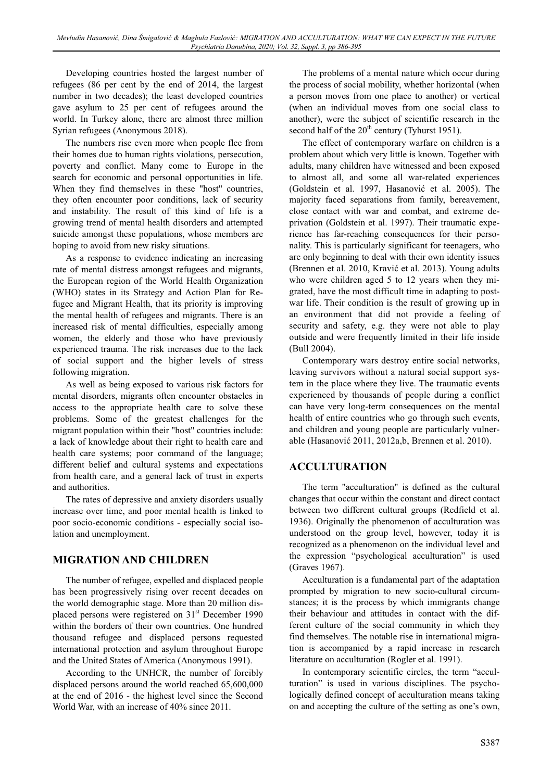Developing countries hosted the largest number of refugees (86 per cent by the end of 2014, the largest number in two decades); the least developed countries gave asylum to 25 per cent of refugees around the world. In Turkey alone, there are almost three million Syrian refugees (Anonymous 2018).

The numbers rise even more when people flee from their homes due to human rights violations, persecution, poverty and conflict. Many come to Europe in the search for economic and personal opportunities in life. When they find themselves in these "host" countries, they often encounter poor conditions, lack of security and instability. The result of this kind of life is a growing trend of mental health disorders and attempted suicide amongst these populations, whose members are hoping to avoid from new risky situations.

As a response to evidence indicating an increasing rate of mental distress amongst refugees and migrants, the European region of the World Health Organization (WHO) states in its Strategy and Action Plan for Refugee and Migrant Health, that its priority is improving the mental health of refugees and migrants. There is an increased risk of mental difficulties, especially among women, the elderly and those who have previously experienced trauma. The risk increases due to the lack of social support and the higher levels of stress following migration.

As well as being exposed to various risk factors for mental disorders, migrants often encounter obstacles in access to the appropriate health care to solve these problems. Some of the greatest challenges for the migrant population within their "host" countries include: a lack of knowledge about their right to health care and health care systems; poor command of the language; different belief and cultural systems and expectations from health care, and a general lack of trust in experts and authorities.

The rates of depressive and anxiety disorders usually increase over time, and poor mental health is linked to poor socio-economic conditions - especially social isolation and unemployment.

# **MIGRATION AND CHILDREN**

The number of refugee, expelled and displaced people has been progressively rising over recent decades on the world demographic stage. More than 20 million displaced persons were registered on  $31<sup>st</sup>$  December 1990 within the borders of their own countries. One hundred thousand refugee and displaced persons requested international protection and asylum throughout Europe and the United States of America (Anonymous 1991).

According to the UNHCR, the number of forcibly displaced persons around the world reached 65,600,000 at the end of 2016 - the highest level since the Second World War, with an increase of 40% since 2011.

The problems of a mental nature which occur during the process of social mobility, whether horizontal (when a person moves from one place to another) or vertical (when an individual moves from one social class to another), were the subject of scientific research in the second half of the  $20<sup>th</sup>$  century (Tyhurst 1951).

The effect of contemporary warfare on children is a problem about which very little is known. Together with adults, many children have witnessed and been exposed to almost all, and some all war-related experiences (Goldstein et al. 1997, Hasanović et al. 2005). The majority faced separations from family, bereavement, close contact with war and combat, and extreme deprivation (Goldstein et al. 1997). Their traumatic experience has far-reaching consequences for their personality. This is particularly significant for teenagers, who are only beginning to deal with their own identity issues (Brennen et al. 2010, Kravić et al. 2013). Young adults who were children aged 5 to 12 years when they migrated, have the most difficult time in adapting to postwar life. Their condition is the result of growing up in an environment that did not provide a feeling of security and safety, e.g. they were not able to play outside and were frequently limited in their life inside (Bull 2004).

Contemporary wars destroy entire social networks, leaving survivors without a natural social support system in the place where they live. The traumatic events experienced by thousands of people during a conflict can have very long-term consequences on the mental health of entire countries who go through such events, and children and young people are particularly vulnerable (Hasanović 2011, 2012a,b, Brennen et al. 2010).

# **ACCULTURATION**

The term "acculturation" is defined as the cultural changes that occur within the constant and direct contact between two different cultural groups (Redfield et al. 1936). Originally the phenomenon of acculturation was understood on the group level, however, today it is recognized as a phenomenon on the individual level and the expression "psychological acculturation" is used (Graves 1967).

Acculturation is a fundamental part of the adaptation prompted by migration to new socio-cultural circumstances; it is the process by which immigrants change their behaviour and attitudes in contact with the different culture of the social community in which they find themselves. The notable rise in international migration is accompanied by a rapid increase in research literature on acculturation (Rogler et al. 1991).

In contemporary scientific circles, the term "acculturation" is used in various disciplines. The psychologically defined concept of acculturation means taking on and accepting the culture of the setting as one's own,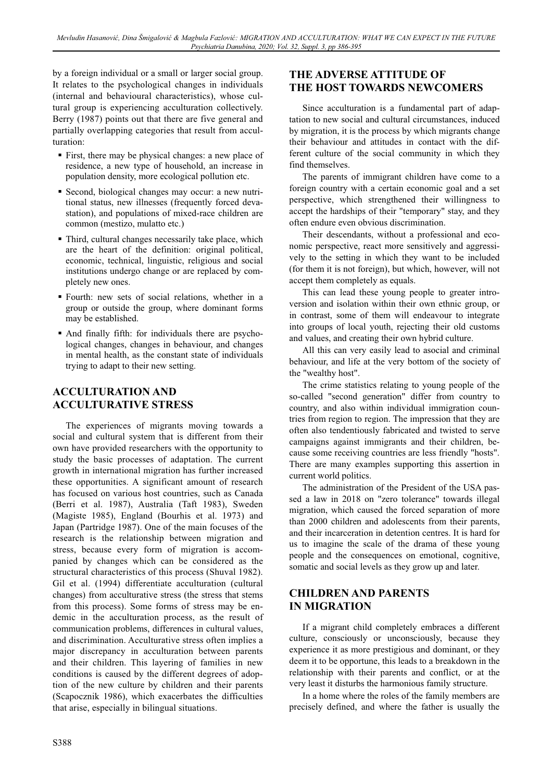by a foreign individual or a small or larger social group. It relates to the psychological changes in individuals (internal and behavioural characteristics), whose cultural group is experiencing acculturation collectively. Berry (1987) points out that there are five general and partially overlapping categories that result from acculturation:

- First, there may be physical changes: a new place of residence, a new type of household, an increase in population density, more ecological pollution etc.
- Second, biological changes may occur: a new nutritional status, new illnesses (frequently forced devastation), and populations of mixed-race children are common (mestizo, mulatto etc.)
- Third, cultural changes necessarily take place, which are the heart of the definition: original political, economic, technical, linguistic, religious and social institutions undergo change or are replaced by completely new ones.
- Fourth: new sets of social relations, whether in a group or outside the group, where dominant forms may be established.
- And finally fifth: for individuals there are psychological changes, changes in behaviour, and changes in mental health, as the constant state of individuals trying to adapt to their new setting.

## **ACCULTURATION AND ACCULTURATIVE STRESS**

The experiences of migrants moving towards a social and cultural system that is different from their own have provided researchers with the opportunity to study the basic processes of adaptation. The current growth in international migration has further increased these opportunities. A significant amount of research has focused on various host countries, such as Canada (Berri et al. 1987), Australia (Taft 1983), Sweden (Magiste 1985), England (Bourhis et al. 1973) and Japan (Partridge 1987). One of the main focuses of the research is the relationship between migration and stress, because every form of migration is accompanied by changes which can be considered as the structural characteristics of this process (Shuval 1982). Gil et al. (1994) differentiate acculturation (cultural changes) from acculturative stress (the stress that stems from this process). Some forms of stress may be endemic in the acculturation process, as the result of communication problems, differences in cultural values, and discrimination. Acculturative stress often implies a major discrepancy in acculturation between parents and their children. This layering of families in new conditions is caused by the different degrees of adoption of the new culture by children and their parents (Scapocznik 1986), which exacerbates the difficulties that arise, especially in bilingual situations.

## **THE ADVERSE ATTITUDE OF THE HOST TOWARDS NEWCOMERS**

Since acculturation is a fundamental part of adaptation to new social and cultural circumstances, induced by migration, it is the process by which migrants change their behaviour and attitudes in contact with the different culture of the social community in which they find themselves.

The parents of immigrant children have come to a foreign country with a certain economic goal and a set perspective, which strengthened their willingness to accept the hardships of their "temporary" stay, and they often endure even obvious discrimination.

Their descendants, without a professional and economic perspective, react more sensitively and aggressively to the setting in which they want to be included (for them it is not foreign), but which, however, will not accept them completely as equals.

This can lead these young people to greater introversion and isolation within their own ethnic group, or in contrast, some of them will endeavour to integrate into groups of local youth, rejecting their old customs and values, and creating their own hybrid culture.

All this can very easily lead to asocial and criminal behaviour, and life at the very bottom of the society of the "wealthy host".

The crime statistics relating to young people of the so-called "second generation" differ from country to country, and also within individual immigration countries from region to region. The impression that they are often also tendentiously fabricated and twisted to serve campaigns against immigrants and their children, because some receiving countries are less friendly "hosts". There are many examples supporting this assertion in current world politics.

The administration of the President of the USA passed a law in 2018 on "zero tolerance" towards illegal migration, which caused the forced separation of more than 2000 children and adolescents from their parents, and their incarceration in detention centres. It is hard for us to imagine the scale of the drama of these young people and the consequences on emotional, cognitive, somatic and social levels as they grow up and later.

## **CHILDREN AND PARENTS IN MIGRATION**

If a migrant child completely embraces a different culture, consciously or unconsciously, because they experience it as more prestigious and dominant, or they deem it to be opportune, this leads to a breakdown in the relationship with their parents and conflict, or at the very least it disturbs the harmonious family structure.

In a home where the roles of the family members are precisely defined, and where the father is usually the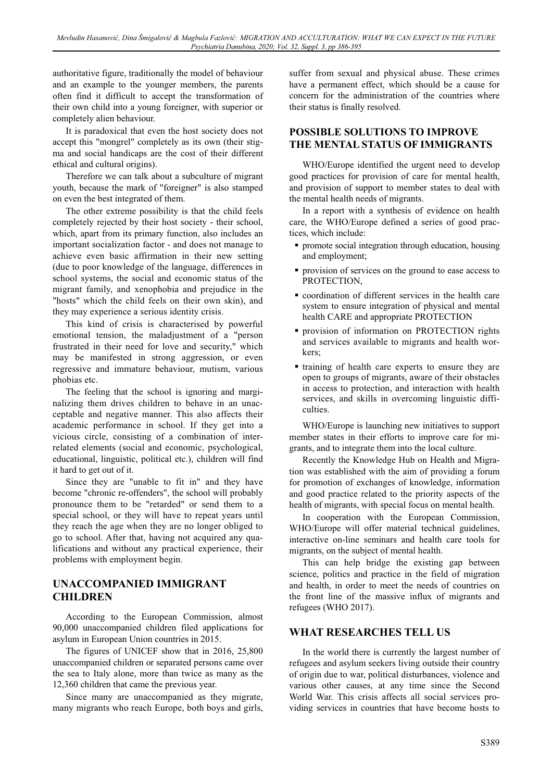authoritative figure, traditionally the model of behaviour and an example to the younger members, the parents often find it difficult to accept the transformation of their own child into a young foreigner, with superior or completely alien behaviour.

It is paradoxical that even the host society does not accept this "mongrel" completely as its own (their stigma and social handicaps are the cost of their different ethical and cultural origins).

Therefore we can talk about a subculture of migrant youth, because the mark of "foreigner" is also stamped on even the best integrated of them.

The other extreme possibility is that the child feels completely rejected by their host society - their school, which, apart from its primary function, also includes an important socialization factor - and does not manage to achieve even basic affirmation in their new setting (due to poor knowledge of the language, differences in school systems, the social and economic status of the migrant family, and xenophobia and prejudice in the "hosts" which the child feels on their own skin), and they may experience a serious identity crisis.

This kind of crisis is characterised by powerful emotional tension, the maladjustment of a "person frustrated in their need for love and security," which may be manifested in strong aggression, or even regressive and immature behaviour, mutism, various phobias etc.

The feeling that the school is ignoring and marginalizing them drives children to behave in an unacceptable and negative manner. This also affects their academic performance in school. If they get into a vicious circle, consisting of a combination of interrelated elements (social and economic, psychological, educational, linguistic, political etc.), children will find it hard to get out of it.

Since they are "unable to fit in" and they have become "chronic re-offenders", the school will probably pronounce them to be "retarded" or send them to a special school, or they will have to repeat years until they reach the age when they are no longer obliged to go to school. After that, having not acquired any qualifications and without any practical experience, their problems with employment begin.

## **UNACCOMPANIED IMMIGRANT CHILDREN**

According to the European Commission, almost 90,000 unaccompanied children filed applications for asylum in European Union countries in 2015.

The figures of UNICEF show that in 2016, 25,800 unaccompanied children or separated persons came over the sea to Italy alone, more than twice as many as the 12,360 children that came the previous year.

Since many are unaccompanied as they migrate, many migrants who reach Europe, both boys and girls, suffer from sexual and physical abuse. These crimes have a permanent effect, which should be a cause for concern for the administration of the countries where their status is finally resolved.

#### **POSSIBLE SOLUTIONS TO IMPROVE THE MENTAL STATUS OF IMMIGRANTS**

WHO/Europe identified the urgent need to develop good practices for provision of care for mental health, and provision of support to member states to deal with the mental health needs of migrants.

In a report with a synthesis of evidence on health care, the WHO/Europe defined a series of good practices, which include:

- promote social integration through education, housing and employment;
- provision of services on the ground to ease access to PROTECTION,
- coordination of different services in the health care system to ensure integration of physical and mental health CARE and appropriate PROTECTION
- provision of information on PROTECTION rights and services available to migrants and health workers;
- training of health care experts to ensure they are open to groups of migrants, aware of their obstacles in access to protection, and interaction with health services, and skills in overcoming linguistic difficulties.

WHO/Europe is launching new initiatives to support member states in their efforts to improve care for migrants, and to integrate them into the local culture.

Recently the Knowledge Hub on Health and Migration was established with the aim of providing a forum for promotion of exchanges of knowledge, information and good practice related to the priority aspects of the health of migrants, with special focus on mental health.

In cooperation with the European Commission, WHO/Europe will offer material technical guidelines, interactive on-line seminars and health care tools for migrants, on the subject of mental health.

This can help bridge the existing gap between science, politics and practice in the field of migration and health, in order to meet the needs of countries on the front line of the massive influx of migrants and refugees (WHO 2017).

#### **WHAT RESEARCHES TELL US**

In the world there is currently the largest number of refugees and asylum seekers living outside their country of origin due to war, political disturbances, violence and various other causes, at any time since the Second World War. This crisis affects all social services providing services in countries that have become hosts to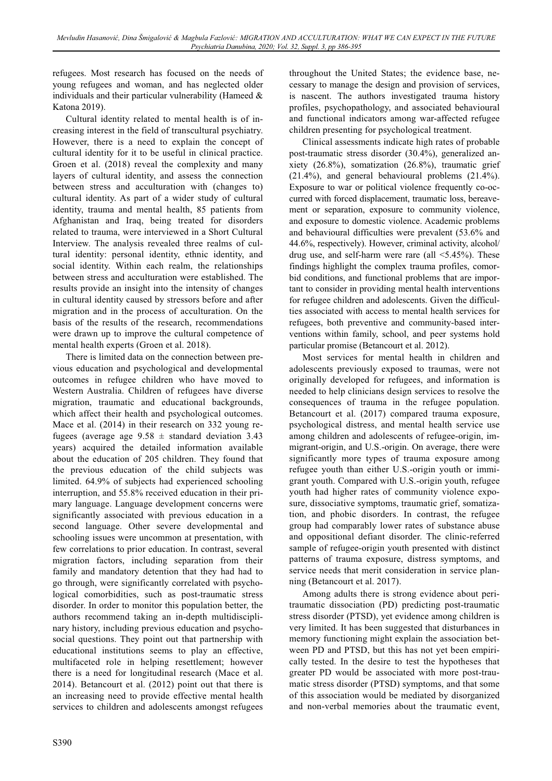refugees. Most research has focused on the needs of young refugees and woman, and has neglected older individuals and their particular vulnerability (Hameed & Katona 2019).

Cultural identity related to mental health is of increasing interest in the field of transcultural psychiatry. However, there is a need to explain the concept of cultural identity for it to be useful in clinical practice. Groen et al. (2018) reveal the complexity and many layers of cultural identity, and assess the connection between stress and acculturation with (changes to) cultural identity. As part of a wider study of cultural identity, trauma and mental health, 85 patients from Afghanistan and Iraq, being treated for disorders related to trauma, were interviewed in a Short Cultural Interview. The analysis revealed three realms of cultural identity: personal identity, ethnic identity, and social identity. Within each realm, the relationships between stress and acculturation were established. The results provide an insight into the intensity of changes in cultural identity caused by stressors before and after migration and in the process of acculturation. On the basis of the results of the research, recommendations were drawn up to improve the cultural competence of mental health experts (Groen et al. 2018).

There is limited data on the connection between previous education and psychological and developmental outcomes in refugee children who have moved to Western Australia. Children of refugees have diverse migration, traumatic and educational backgrounds, which affect their health and psychological outcomes. Mace et al. (2014) in their research on 332 young refugees (average age  $9.58 \pm$  standard deviation 3.43 years) acquired the detailed information available about the education of 205 children. They found that the previous education of the child subjects was limited. 64.9% of subjects had experienced schooling interruption, and 55.8% received education in their primary language. Language development concerns were significantly associated with previous education in a second language. Other severe developmental and schooling issues were uncommon at presentation, with few correlations to prior education. In contrast, several migration factors, including separation from their family and mandatory detention that they had had to go through, were significantly correlated with psychological comorbidities, such as post-traumatic stress disorder. In order to monitor this population better, the authors recommend taking an in-depth multidisciplinary history, including previous education and psychosocial questions. They point out that partnership with educational institutions seems to play an effective, multifaceted role in helping resettlement; however there is a need for longitudinal research (Mace et al. 2014). Betancourt et al. (2012) point out that there is an increasing need to provide effective mental health services to children and adolescents amongst refugees

throughout the United States; the evidence base, necessary to manage the design and provision of services, is nascent. The authors investigated trauma history profiles, psychopathology, and associated behavioural and functional indicators among war-affected refugee children presenting for psychological treatment.

Clinical assessments indicate high rates of probable post-traumatic stress disorder (30.4%), generalized anxiety (26.8%), somatization (26.8%), traumatic grief (21.4%), and general behavioural problems (21.4%). Exposure to war or political violence frequently co-occurred with forced displacement, traumatic loss, bereavement or separation, exposure to community violence, and exposure to domestic violence. Academic problems and behavioural difficulties were prevalent (53.6% and 44.6%, respectively). However, criminal activity, alcohol/ drug use, and self-harm were rare (all  $\leq 5.45\%$ ). These findings highlight the complex trauma profiles, comorbid conditions, and functional problems that are important to consider in providing mental health interventions for refugee children and adolescents. Given the difficulties associated with access to mental health services for refugees, both preventive and community-based interventions within family, school, and peer systems hold particular promise (Betancourt et al. 2012).

Most services for mental health in children and adolescents previously exposed to traumas, were not originally developed for refugees, and information is needed to help clinicians design services to resolve the consequences of trauma in the refugee population. Betancourt et al. (2017) compared trauma exposure, psychological distress, and mental health service use among children and adolescents of refugee-origin, immigrant-origin, and U.S.-origin. On average, there were significantly more types of trauma exposure among refugee youth than either U.S.-origin youth or immigrant youth. Compared with U.S.-origin youth, refugee youth had higher rates of community violence exposure, dissociative symptoms, traumatic grief, somatization, and phobic disorders. In contrast, the refugee group had comparably lower rates of substance abuse and oppositional defiant disorder. The clinic-referred sample of refugee-origin youth presented with distinct patterns of trauma exposure, distress symptoms, and service needs that merit consideration in service planning (Betancourt et al. 2017).

Among adults there is strong evidence about peritraumatic dissociation (PD) predicting post-traumatic stress disorder (PTSD), yet evidence among children is very limited. It has been suggested that disturbances in memory functioning might explain the association between PD and PTSD, but this has not yet been empirically tested. In the desire to test the hypotheses that greater PD would be associated with more post-traumatic stress disorder (PTSD) symptoms, and that some of this association would be mediated by disorganized and non-verbal memories about the traumatic event,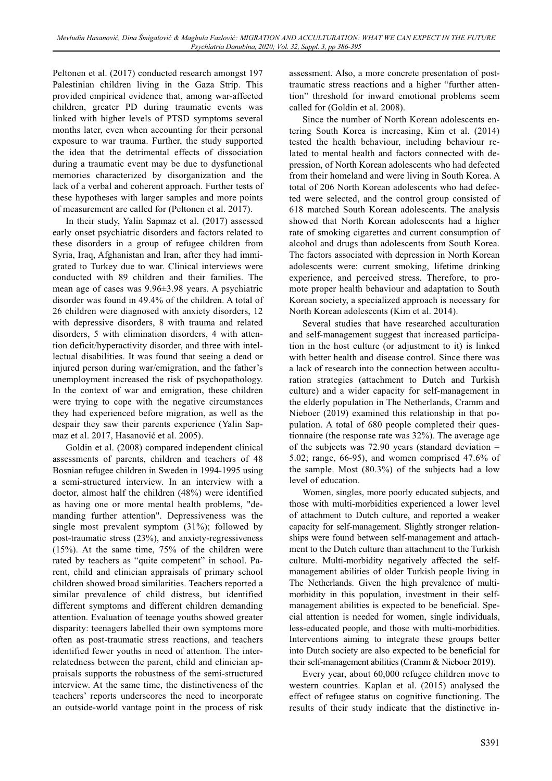Peltonen et al. (2017) conducted research amongst 197 Palestinian children living in the Gaza Strip. This provided empirical evidence that, among war-affected children, greater PD during traumatic events was linked with higher levels of PTSD symptoms several months later, even when accounting for their personal exposure to war trauma. Further, the study supported the idea that the detrimental effects of dissociation during a traumatic event may be due to dysfunctional memories characterized by disorganization and the lack of a verbal and coherent approach. Further tests of these hypotheses with larger samples and more points of measurement are called for (Peltonen et al. 2017).

In their study, Yalin Sapmaz et al. (2017) assessed early onset psychiatric disorders and factors related to these disorders in a group of refugee children from Syria, Iraq, Afghanistan and Iran, after they had immigrated to Turkey due to war. Clinical interviews were conducted with 89 children and their families. The mean age of cases was 9.96±3.98 years. A psychiatric disorder was found in 49.4% of the children. A total of 26 children were diagnosed with anxiety disorders, 12 with depressive disorders, 8 with trauma and related disorders, 5 with elimination disorders, 4 with attention deficit/hyperactivity disorder, and three with intellectual disabilities. It was found that seeing a dead or injured person during war/emigration, and the father's unemployment increased the risk of psychopathology. In the context of war and emigration, these children were trying to cope with the negative circumstances they had experienced before migration, as well as the despair they saw their parents experience (Yalin Sapmaz et al. 2017, Hasanović et al. 2005).

Goldin et al. (2008) compared independent clinical assessments of parents, children and teachers of 48 Bosnian refugee children in Sweden in 1994-1995 using a semi-structured interview. In an interview with a doctor, almost half the children (48%) were identified as having one or more mental health problems, "demanding further attention". Depressiveness was the single most prevalent symptom (31%); followed by post-traumatic stress (23%), and anxiety-regressiveness (15%). At the same time, 75% of the children were rated by teachers as "quite competent" in school. Parent, child and clinician appraisals of primary school children showed broad similarities. Teachers reported a similar prevalence of child distress, but identified different symptoms and different children demanding attention. Evaluation of teenage youths showed greater disparity: teenagers labelled their own symptoms more often as post-traumatic stress reactions, and teachers identified fewer youths in need of attention. The interrelatedness between the parent, child and clinician appraisals supports the robustness of the semi-structured interview. At the same time, the distinctiveness of the teachers' reports underscores the need to incorporate an outside-world vantage point in the process of risk

assessment. Also, a more concrete presentation of posttraumatic stress reactions and a higher "further attention" threshold for inward emotional problems seem called for (Goldin et al. 2008).

Since the number of North Korean adolescents entering South Korea is increasing, Kim et al. (2014) tested the health behaviour, including behaviour related to mental health and factors connected with depression, of North Korean adolescents who had defected from their homeland and were living in South Korea. A total of 206 North Korean adolescents who had defected were selected, and the control group consisted of 618 matched South Korean adolescents. The analysis showed that North Korean adolescents had a higher rate of smoking cigarettes and current consumption of alcohol and drugs than adolescents from South Korea. The factors associated with depression in North Korean adolescents were: current smoking, lifetime drinking experience, and perceived stress. Therefore, to promote proper health behaviour and adaptation to South Korean society, a specialized approach is necessary for North Korean adolescents (Kim et al. 2014).

Several studies that have researched acculturation and self-management suggest that increased participation in the host culture (or adjustment to it) is linked with better health and disease control. Since there was a lack of research into the connection between acculturation strategies (attachment to Dutch and Turkish culture) and a wider capacity for self-management in the elderly population in The Netherlands, Cramm and Nieboer (2019) examined this relationship in that population. A total of 680 people completed their questionnaire (the response rate was 32%). The average age of the subjects was  $72.90$  years (standard deviation = 5.02; range, 66-95), and women comprised 47.6% of the sample. Most (80.3%) of the subjects had a low level of education.

Women, singles, more poorly educated subjects, and those with multi-morbidities experienced a lower level of attachment to Dutch culture, and reported a weaker capacity for self-management. Slightly stronger relationships were found between self-management and attachment to the Dutch culture than attachment to the Turkish culture. Multi-morbidity negatively affected the selfmanagement abilities of older Turkish people living in The Netherlands. Given the high prevalence of multimorbidity in this population, investment in their selfmanagement abilities is expected to be beneficial. Special attention is needed for women, single individuals, less-educated people, and those with multi-morbidities. Interventions aiming to integrate these groups better into Dutch society are also expected to be beneficial for their self-management abilities (Cramm & Nieboer 2019).

Every year, about 60,000 refugee children move to western countries. Kaplan et al. (2015) analysed the effect of refugee status on cognitive functioning. The results of their study indicate that the distinctive in-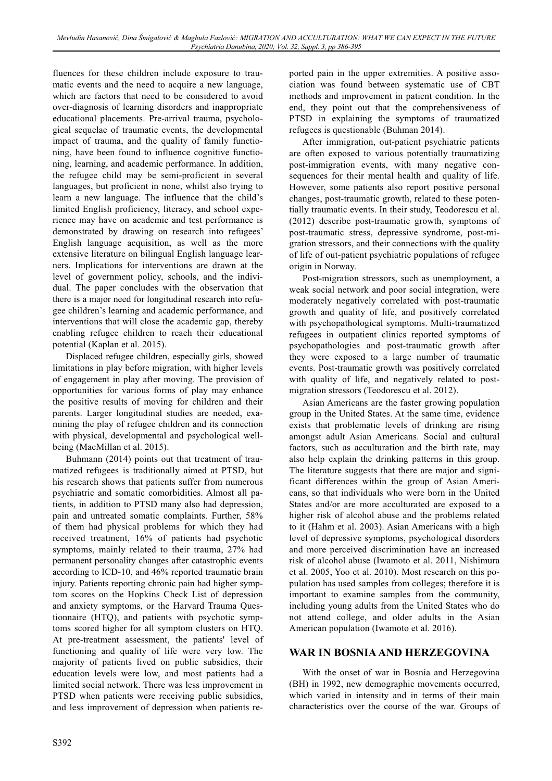fluences for these children include exposure to traumatic events and the need to acquire a new language, which are factors that need to be considered to avoid over-diagnosis of learning disorders and inappropriate educational placements. Pre-arrival trauma, psychological sequelae of traumatic events, the developmental impact of trauma, and the quality of family functioning, have been found to influence cognitive functioning, learning, and academic performance. In addition, the refugee child may be semi-proficient in several languages, but proficient in none, whilst also trying to learn a new language. The influence that the child's limited English proficiency, literacy, and school experience may have on academic and test performance is demonstrated by drawing on research into refugees' English language acquisition, as well as the more extensive literature on bilingual English language learners. Implications for interventions are drawn at the level of government policy, schools, and the individual. The paper concludes with the observation that there is a major need for longitudinal research into refugee children's learning and academic performance, and interventions that will close the academic gap, thereby enabling refugee children to reach their educational potential (Kaplan et al. 2015).

Displaced refugee children, especially girls, showed limitations in play before migration, with higher levels of engagement in play after moving. The provision of opportunities for various forms of play may enhance the positive results of moving for children and their parents. Larger longitudinal studies are needed, examining the play of refugee children and its connection with physical, developmental and psychological wellbeing (MacMillan et al. 2015).

Buhmann (2014) points out that treatment of traumatized refugees is traditionally aimed at PTSD, but his research shows that patients suffer from numerous psychiatric and somatic comorbidities. Almost all patients, in addition to PTSD many also had depression, pain and untreated somatic complaints. Further, 58% of them had physical problems for which they had received treatment, 16% of patients had psychotic symptoms, mainly related to their trauma, 27% had permanent personality changes after catastrophic events according to ICD-10, and 46% reported traumatic brain injury. Patients reporting chronic pain had higher symptom scores on the Hopkins Check List of depression and anxiety symptoms, or the Harvard Trauma Questionnaire (HTQ), and patients with psychotic symptoms scored higher for all symptom clusters on HTQ. At pre-treatment assessment, the patients' level of functioning and quality of life were very low. The majority of patients lived on public subsidies, their education levels were low, and most patients had a limited social network. There was less improvement in PTSD when patients were receiving public subsidies, and less improvement of depression when patients reported pain in the upper extremities. A positive association was found between systematic use of CBT methods and improvement in patient condition. In the end, they point out that the comprehensiveness of PTSD in explaining the symptoms of traumatized refugees is questionable (Buhman 2014).

After immigration, out-patient psychiatric patients are often exposed to various potentially traumatizing post-immigration events, with many negative consequences for their mental health and quality of life. However, some patients also report positive personal changes, post-traumatic growth, related to these potentially traumatic events. In their study, Teodorescu et al. (2012) describe post-traumatic growth, symptoms of post-traumatic stress, depressive syndrome, post-migration stressors, and their connections with the quality of life of out-patient psychiatric populations of refugee origin in Norway.

Post-migration stressors, such as unemployment, a weak social network and poor social integration, were moderately negatively correlated with post-traumatic growth and quality of life, and positively correlated with psychopathological symptoms. Multi-traumatized refugees in outpatient clinics reported symptoms of psychopathologies and post-traumatic growth after they were exposed to a large number of traumatic events. Post-traumatic growth was positively correlated with quality of life, and negatively related to postmigration stressors (Teodorescu et al. 2012).

Asian Americans are the faster growing population group in the United States. At the same time, evidence exists that problematic levels of drinking are rising amongst adult Asian Americans. Social and cultural factors, such as acculturation and the birth rate, may also help explain the drinking patterns in this group. The literature suggests that there are major and significant differences within the group of Asian Americans, so that individuals who were born in the United States and/or are more acculturated are exposed to a higher risk of alcohol abuse and the problems related to it (Hahm et al. 2003). Asian Americans with a high level of depressive symptoms, psychological disorders and more perceived discrimination have an increased risk of alcohol abuse (Iwamoto et al. 2011, Nishimura et al. 2005, Yoo et al. 2010). Most research on this population has used samples from colleges; therefore it is important to examine samples from the community, including young adults from the United States who do not attend college, and older adults in the Asian American population (Iwamoto et al. 2016).

#### **WAR IN BOSNIA AND HERZEGOVINA**

With the onset of war in Bosnia and Herzegovina (BH) in 1992, new demographic movements occurred, which varied in intensity and in terms of their main characteristics over the course of the war. Groups of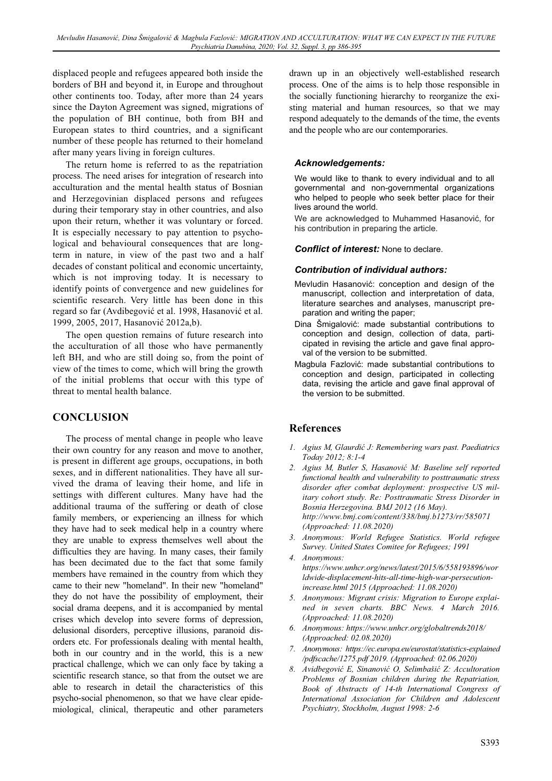displaced people and refugees appeared both inside the borders of BH and beyond it, in Europe and throughout other continents too. Today, after more than 24 years since the Dayton Agreement was signed, migrations of the population of BH continue, both from BH and European states to third countries, and a significant number of these people has returned to their homeland after many years living in foreign cultures.

The return home is referred to as the repatriation process. The need arises for integration of research into acculturation and the mental health status of Bosnian and Herzegovinian displaced persons and refugees during their temporary stay in other countries, and also upon their return, whether it was voluntary or forced. It is especially necessary to pay attention to psychological and behavioural consequences that are longterm in nature, in view of the past two and a half decades of constant political and economic uncertainty, which is not improving today. It is necessary to identify points of convergence and new guidelines for scientific research. Very little has been done in this regard so far (Avdibegović et al. 1998, Hasanović et al. 1999, 2005, 2017, Hasanović 2012a,b).

The open question remains of future research into the acculturation of all those who have permanently left BH, and who are still doing so, from the point of view of the times to come, which will bring the growth of the initial problems that occur with this type of threat to mental health balance.

# **CONCLUSION**

The process of mental change in people who leave their own country for any reason and move to another, is present in different age groups, occupations, in both sexes, and in different nationalities. They have all survived the drama of leaving their home, and life in settings with different cultures. Many have had the additional trauma of the suffering or death of close family members, or experiencing an illness for which they have had to seek medical help in a country where they are unable to express themselves well about the difficulties they are having. In many cases, their family has been decimated due to the fact that some family members have remained in the country from which they came to their new "homeland". In their new "homeland" they do not have the possibility of employment, their social drama deepens, and it is accompanied by mental crises which develop into severe forms of depression, delusional disorders, perceptive illusions, paranoid disorders etc. For professionals dealing with mental health, both in our country and in the world, this is a new practical challenge, which we can only face by taking a scientific research stance, so that from the outset we are able to research in detail the characteristics of this psycho-social phenomenon, so that we have clear epidemiological, clinical, therapeutic and other parameters

drawn up in an objectively well-established research process. One of the aims is to help those responsible in the socially functioning hierarchy to reorganize the existing material and human resources, so that we may respond adequately to the demands of the time, the events and the people who are our contemporaries.

#### *Acknowledgements:*

We would like to thank to every individual and to all governmental and non-governmental organizations who helped to people who seek better place for their lives around the world.

We are acknowledged to Muhammed Hasanović, for his contribution in preparing the article.

#### *Conflict of interest:* None to declare.

#### *Contribution of individual authors:*

- Mevludin Hasanović: conception and design of the manuscript, collection and interpretation of data, literature searches and analyses, manuscript preparation and writing the paper;
- Dina Šmigalović: made substantial contributions to conception and design, collection of data, participated in revising the article and gave final approval of the version to be submitted.
- Magbula Fazlović: made substantial contributions to conception and design, participated in collecting data, revising the article and gave final approval of the version to be submitted.

#### **References**

- *1. Agius M, Glaurdiü J: Remembering wars past. Paediatrics Today 2012; 8:1-4*
- *2. Agius M, Butler S, Hasanoviü M: Baseline self reported functional health and vulnerability to posttraumatic stress disorder after combat deployment: prospective US military cohort study. Re: Posttraumatic Stress Disorder in Bosnia Herzegovina. BMJ 2012 (16 May). http://www.bmj.com/content/338/bmj.b1273/rr/585071 (Approached: 11.08.2020)*
- *3. Anonymous: World Refugee Statistics. World refugee Survey. United States Comitee for Refugees; 1991*
- *4. Anonymous: https://www.unhcr.org/news/latest/2015/6/558193896/wor ldwide-displacement-hits-all-time-high-war-persecutionincrease.html 2015 (Approached: 11.08.2020)*
- *5. Anonymous: Migrant crisis: Migration to Europe explained in seven charts. BBC News. 4 March 2016. (Approached: 11.08.2020)*
- *6. Anonymous: https://www.unhcr.org/globaltrends2018/ (Approached: 02.08.2020)*
- *7. Anonymous: https://ec.europa.eu/eurostat/statistics-explained /pdfscache/1275.pdf 2019. (Approached: 02.06.2020)*
- *8. Avidbegoviü E, Sinanoviü O, Selimbašiü Z: Accultoration Problems of Bosnian children during the Repatriation, Book of Abstracts of 14-th International Congress of International Association for Children and Adolescent Psychiatry, Stockholm, August 1998: 2-6*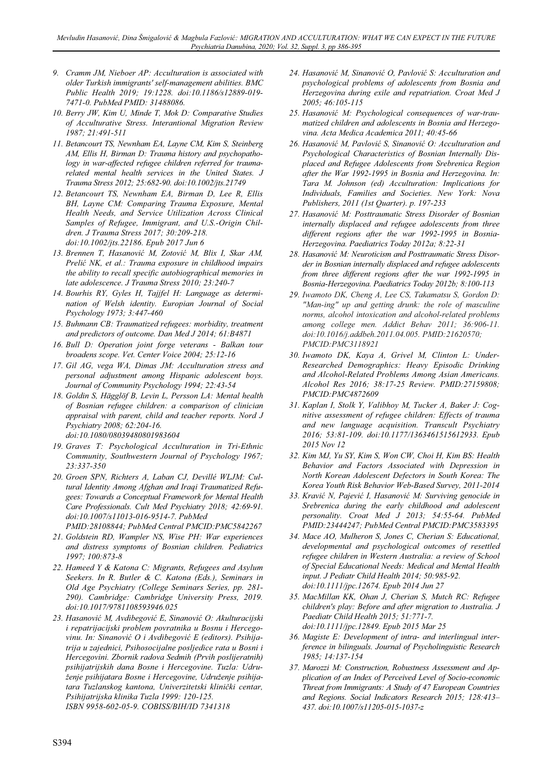- *9. Cramm JM, Nieboer AP: Acculturation is associated with older Turkish immigrants' self-management abilities. BMC Public Health 2019; 19:1228. doi:10.1186/s12889-019- 7471-0. PubMed PMID: 31488086.*
- *10. Berry JW, Kim U, Minde T, Mok D: Comparative Studies of Acculturative Stress. Interantional Migration Review 1987; 21:491-511*
- *11. Betancourt TS, Newnham EA, Layne CM, Kim S, Steinberg AM, Ellis H, Birman D: Trauma history and psychopathology in war-affected refugee children referred for traumarelated mental health services in the United States. J Trauma Stress 2012; 25:682-90. doi:10.1002/jts.21749*
- *12. Betancourt TS, Newnham EA, Birman D, Lee R, Ellis BH, Layne CM: Comparing Trauma Exposure, Mental Health Needs, and Service Utilization Across Clinical Samples of Refugee, Immigrant, and U.S.-Origin Children. J Trauma Stress 2017; 30:209-218. doi:10.1002/jts.22186. Epub 2017 Jun 6*
- *13. Brennen T, Hasanoviü M, Zotoviü M, Blix I, Skar AM, Preliü NK, et al.: Trauma exposure in childhood impairs the ability to recall specific autobiographical memories in late adolescence. J Trauma Stress 2010; 23:240-7*
- *14. Bourhis RY, Gyles H, Tajjfel H: Language as determination of Welsh identity. Europian Journal of Social Psychology 1973; 3:447-460*
- *15. Buhmann CB: Traumatized refugees: morbidity, treatment and predictors of outcome. Dan Med J 2014; 61:B4871*
- *16. Bull D: Operation joint forge veterans Balkan tour broadens scope. Vet. Center Voice 2004; 25:12-16*
- *17. Gil AG, vega WA, Dimas JM: Acculturation stress and personal adjustment among Hispanic adolescent boys. Journal of Community Psychology 1994; 22:43-54*
- *18. Goldin S, Hägglöf B, Levin L, Persson LA: Mental health of Bosnian refugee children: a comparison of clinician appraisal with parent, child and teacher reports. Nord J Psychiatry 2008; 62:204-16. doi:10.1080/08039480801983604*
- *19. Graves T: Psychological Acculturation in Tri-Ethnic Community, Southwestern Journal of Psychology 1967; 23:337-350*
- *20. Groen SPN, Richters A, Laban CJ, Devillé WLJM: Cultural Identity Among Afghan and Iraqi Traumatized Refugees: Towards a Conceptual Framework for Mental Health Care Professionals. Cult Med Psychiatry 2018; 42:69-91. doi:10.1007/s11013-016-9514-7. PubMed* 
	- *PMID:28108844; PubMed Central PMCID:PMC5842267*
- *21. Goldstein RD, Wampler NS, Wise PH: War experiences and distress symptoms of Bosnian children. Pediatrics 1997; 100:873-8*
- *22. Hameed Y & Katona C: Migrants, Refugees and Asylum Seekers. In R. Butler & C. Katona (Eds.), Seminars in Old Age Psychiatry (College Seminars Series, pp. 281- 290). Cambridge: Cambridge University Press, 2019. doi:10.1017/9781108593946.025*
- *23. Hasanoviü M, Avdibegoviü E, Sinanoviü O: Akulturacijski i repatrijacijski problem povratnika u Bosnu i Hercegovinu. In: Sinanoviü O i Avdibegoviü E (editors). Psihijatrija u zajednici, Psihosocijalne posljedice rata u Bosni i Hercegovini. Zbornik radova Sedmih (Prvih poslijeratnih) psihijatrijskih dana Bosne i Hercegovine. Tuzla: Udruženje psihijatara Bosne i Hercegovine, Udruženje psihijatara Tuzlanskog kantona, Univerzitetski kliniþki centar, Psihijatrijska klinika Tuzla 1999: 120-125. ISBN 9958-602-05-9. COBISS/BIH/ID 7341318*
- *24. Hasanoviü M, Sinanoviü O, Pavloviü S: Acculturation and psychological problems of adolescents from Bosnia and Herzegovina during exile and repatriation. Croat Med J 2005; 46:105-115*
- *25. Hasanoviü M: Psychological consequences of war-traumatized children and adolescents in Bosnia and Herzegovina. Acta Medica Academica 2011; 40:45-66*
- *26. Hasanoviü M, Pavloviü S, Sinanoviü O: Acculturation and Psychological Characteristics of Bosnian Internally Displaced and Refugee Adolescents from Srebrenica Region after the War 1992-1995 in Bosnia and Herzegovina. In: Tara M. Johnson (ed) Acculturation: Implications for Individuals, Families and Societies. New York: Nova Publishers, 2011 (1st Quarter). p. 197-233*
- *27. Hasanoviü M: Posttraumatic Stress Disorder of Bosnian internally displaced and refugee adolescents from three different regions after the war 1992-1995 in Bosnia-Herzegovina. Paediatrics Today 2012a; 8:22-31*
- *28. Hasanoviü M: Neuroticism and Posttraumatic Stress Disorder in Bosnian internally displaced and refugee adolescents from three different regions after the war 1992-1995 in Bosnia-Herzegovina. Paediatrics Today 2012b; 8:100-113*
- *29. Iwamoto DK, Cheng A, Lee CS, Takamatsu S, Gordon D: "Man-ing" up and getting drunk: the role of masculine norms, alcohol intoxication and alcohol-related problems among college men. Addict Behav 2011; 36:906-11. doi:10.1016/j.addbeh.2011.04.005. PMID:21620570; PMCID:PMC3118921*
- *30. Iwamoto DK, Kaya A, Grivel M, Clinton L: Under-Researched Demographics: Heavy Episodic Drinking and Alcohol-Related Problems Among Asian Americans. Alcohol Res 2016; 38:17-25 Review. PMID:27159808; PMCID:PMC4872609*
- *31. Kaplan I, Stolk Y, Valibhoy M, Tucker A, Baker J: Cognitive assessment of refugee children: Effects of trauma and new language acquisition. Transcult Psychiatry 2016; 53:81-109. doi:10.1177/1363461515612933. Epub 2015 Nov 12*
- *32. Kim MJ, Yu SY, Kim S, Won CW, Choi H, Kim BS: Health Behavior and Factors Associated with Depression in North Korean Adolescent Defectors in South Korea: The Korea Youth Risk Behavior Web-Based Survey, 2011-2014*
- *33. Kraviü N, Pajeviü I, Hasanoviü M: Surviving genocide in Srebrenica during the early childhood and adolescent personality. Croat Med J 2013; 54:55-64. PubMed PMID:23444247; PubMed Central PMCID:PMC3583395*
- *34. Mace AO, Mulheron S, Jones C, Cherian S: Educational, developmental and psychological outcomes of resettled refugee children in Western Australia: a review of School of Special Educational Needs: Medical and Mental Health input. J Pediatr Child Health 2014; 50:985-92. doi:10.1111/jpc.12674. Epub 2014 Jun 27*
- *35. MacMillan KK, Ohan J, Cherian S, Mutch RC: Refugee children's play: Before and after migration to Australia. J Paediatr Child Health 2015; 51:771-7. doi:10.1111/jpc.12849. Epub 2015 Mar 25*
- *36. Magiste E: Development of intra- and interlingual interference in bilinguals. Journal of Psycholinguistic Research 1985; 14:137-154*
- *37. Marozzi M: Construction, Robustness Assessment and Application of an Index of Perceived Level of Socio-economic Threat from Immigrants: A Study of 47 European Countries and Regions. Social Indicators Research 2015; 128:413– 437. doi:10.1007/s11205-015-1037-z*